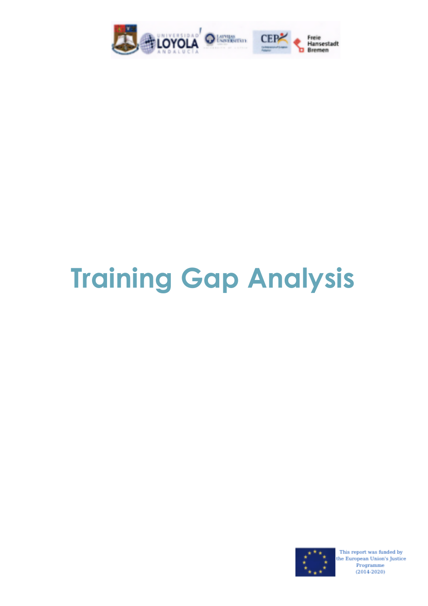

# **Training Gap Analysis**

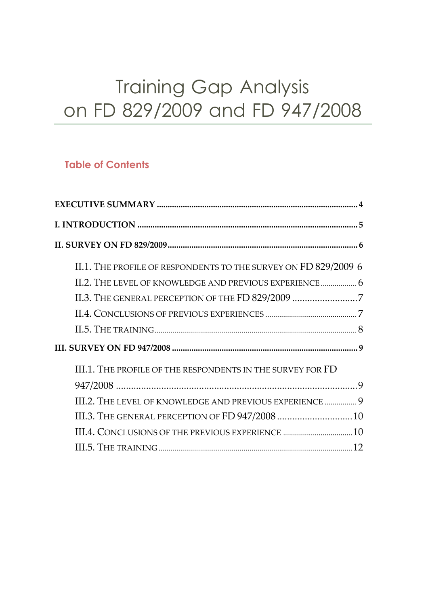## Training Gap Analysis on FD 829/2009 and FD 947/2008

#### **Table of Contents**

| II.1. THE PROFILE OF RESPONDENTS TO THE SURVEY ON FD 829/2009 6 |  |
|-----------------------------------------------------------------|--|
|                                                                 |  |
| II.3. THE GENERAL PERCEPTION OF THE FD 829/2009 7               |  |
|                                                                 |  |
|                                                                 |  |
|                                                                 |  |
| III.1. THE PROFILE OF THE RESPONDENTS IN THE SURVEY FOR FD      |  |
|                                                                 |  |
| III.2. THE LEVEL OF KNOWLEDGE AND PREVIOUS EXPERIENCE  9        |  |
|                                                                 |  |
|                                                                 |  |
|                                                                 |  |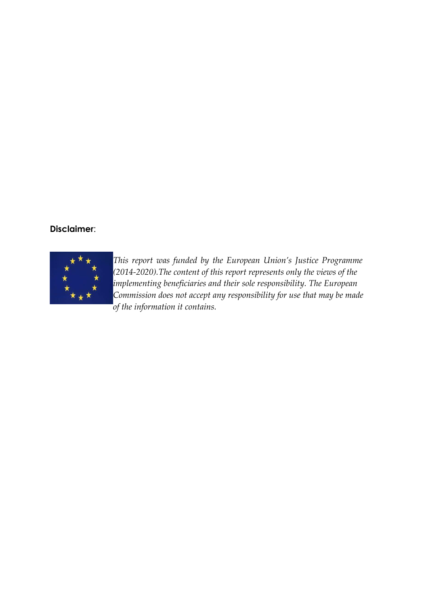#### **Disclaimer**:



*This report was funded by the European Union's Justice Programme (2014-2020).The content of this report represents only the views of the implementing beneficiaries and their sole responsibility. The European Commission does not accept any responsibility for use that may be made of the information it contains.*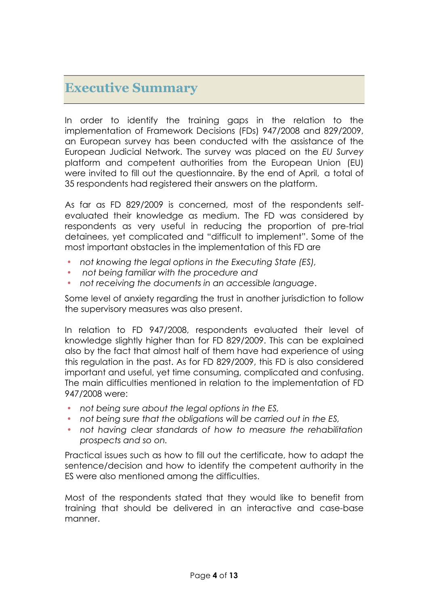### **Executive Summary**

In order to identify the training gaps in the relation to the implementation of Framework Decisions (FDs) 947/2008 and 829/2009, an European survey has been conducted with the assistance of the European Judicial Network. The survey was placed on the *EU Survey* platform and competent authorities from the European Union (EU) were invited to fill out the questionnaire. By the end of April, a total of 35 respondents had registered their answers on the platform.

As far as FD 829/2009 is concerned, most of the respondents selfevaluated their knowledge as medium. The FD was considered by respondents as very useful in reducing the proportion of pre-trial detainees, yet complicated and "difficult to implement". Some of the most important obstacles in the implementation of this FD are

- *not knowing the legal options in the Executing State (ES),*
- *not being familiar with the procedure and*
- *not receiving the documents in an accessible language*.

Some level of anxiety regarding the trust in another jurisdiction to follow the supervisory measures was also present.

In relation to FD 947/2008, respondents evaluated their level of knowledge slightly higher than for FD 829/2009. This can be explained also by the fact that almost half of them have had experience of using this regulation in the past. As for FD 829/2009, this FD is also considered important and useful, yet time consuming, complicated and confusing. The main difficulties mentioned in relation to the implementation of FD 947/2008 were:

- *not being sure about the legal options in the ES,*
- *not being sure that the obligations will be carried out in the ES,*
- *not having clear standards of how to measure the rehabilitation prospects and so on.*

Practical issues such as how to fill out the certificate, how to adapt the sentence/decision and how to identify the competent authority in the ES were also mentioned among the difficulties.

Most of the respondents stated that they would like to benefit from training that should be delivered in an interactive and case-base manner.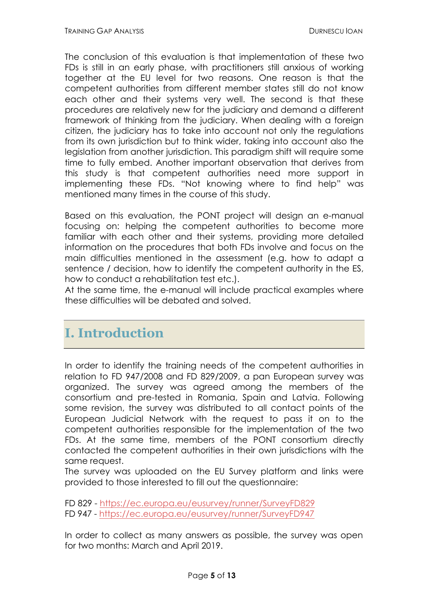The conclusion of this evaluation is that implementation of these two FDs is still in an early phase, with practitioners still anxious of working together at the EU level for two reasons. One reason is that the competent authorities from different member states still do not know each other and their systems very well. The second is that these procedures are relatively new for the judiciary and demand a different framework of thinking from the judiciary. When dealing with a foreign citizen, the judiciary has to take into account not only the regulations from its own jurisdiction but to think wider, taking into account also the legislation from another jurisdiction. This paradigm shift will require some time to fully embed. Another important observation that derives from this study is that competent authorities need more support in implementing these FDs. "Not knowing where to find help" was mentioned many times in the course of this study.

Based on this evaluation, the PONT project will design an e-manual focusing on: helping the competent authorities to become more familiar with each other and their systems, providing more detailed information on the procedures that both FDs involve and focus on the main difficulties mentioned in the assessment (e.g. how to adapt a sentence / decision, how to identify the competent authority in the ES, how to conduct a rehabilitation test etc.).

At the same time, the e-manual will include practical examples where these difficulties will be debated and solved.

## **I. Introduction**

In order to identify the training needs of the competent authorities in relation to FD 947/2008 and FD 829/2009, a pan European survey was organized. The survey was agreed among the members of the consortium and pre-tested in Romania, Spain and Latvia. Following some revision, the survey was distributed to all contact points of the European Judicial Network with the request to pass it on to the competent authorities responsible for the implementation of the two FDs. At the same time, members of the PONT consortium directly contacted the competent authorities in their own jurisdictions with the same request.

The survey was uploaded on the EU Survey platform and links were provided to those interested to fill out the questionnaire:

FD 829 - https://ec.europa.eu/eusurvey/runner/SurveyFD829 FD 947 - https://ec.europa.eu/eusurvey/runner/SurveyFD947

In order to collect as many answers as possible, the survey was open for two months: March and April 2019.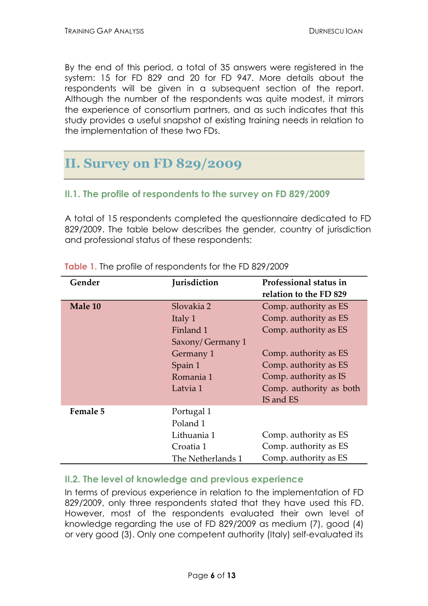By the end of this period, a total of 35 answers were registered in the system: 15 for FD 829 and 20 for FD 947. More details about the respondents will be given in a subsequent section of the report. Although the number of the respondents was quite modest, it mirrors the experience of consortium partners, and as such indicates that this study provides a useful snapshot of existing training needs in relation to the implementation of these two FDs.

## **II. Survey on FD 829/2009**

#### **II.1. The profile of respondents to the survey on FD 829/2009**

A total of 15 respondents completed the questionnaire dedicated to FD 829/2009. The table below describes the gender, country of jurisdiction and professional status of these respondents:

| Gender   | <b>Jurisdiction</b> | Professional status in<br>relation to the FD 829 |
|----------|---------------------|--------------------------------------------------|
| Male 10  | Slovakia 2          | Comp. authority as ES                            |
|          | Italy 1             | Comp. authority as ES                            |
|          | Finland 1           | Comp. authority as ES                            |
|          | Saxony/Germany 1    |                                                  |
|          | Germany 1           | Comp. authority as ES                            |
|          | Spain 1             | Comp. authority as ES                            |
|          | Romania 1           | Comp. authority as IS                            |
|          | Latvia 1            | Comp. authority as both                          |
|          |                     | IS and ES                                        |
| Female 5 | Portugal 1          |                                                  |
|          | Poland 1            |                                                  |
|          | Lithuania 1         | Comp. authority as ES                            |
|          | Croatia 1           | Comp. authority as ES                            |
|          | The Netherlands 1   | Comp. authority as ES                            |

**Table 1.** The profile of respondents for the FD 829/2009

#### **II.2. The level of knowledge and previous experience**

In terms of previous experience in relation to the implementation of FD 829/2009, only three respondents stated that they have used this FD. However, most of the respondents evaluated their own level of knowledge regarding the use of FD 829/2009 as medium (7), good (4) or very good (3). Only one competent authority (Italy) self-evaluated its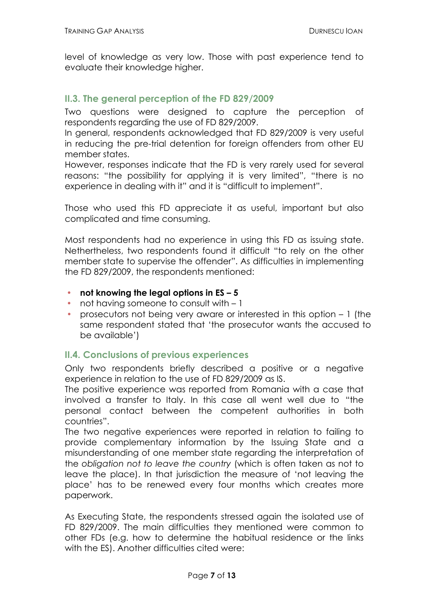level of knowledge as very low. Those with past experience tend to evaluate their knowledge higher.

#### **II.3. The general perception of the FD 829/2009**

Two questions were designed to capture the perception of respondents regarding the use of FD 829/2009.

In general, respondents acknowledged that FD 829/2009 is very useful in reducing the pre-trial detention for foreign offenders from other EU member states.

However, responses indicate that the FD is very rarely used for several reasons: "the possibility for applying it is very limited", "there is no experience in dealing with it" and it is "difficult to implement".

Those who used this FD appreciate it as useful, important but also complicated and time consuming.

Most respondents had no experience in using this FD as issuing state. Nethertheless, two respondents found it difficult "to rely on the other member state to supervise the offender". As difficulties in implementing the FD 829/2009, the respondents mentioned:

- **not knowing the legal options in ES – 5**
- not having someone to consult with 1
- prosecutors not being very aware or interested in this option 1 (the same respondent stated that 'the prosecutor wants the accused to be available')

#### **II.4. Conclusions of previous experiences**

Only two respondents briefly described a positive or a negative experience in relation to the use of FD 829/2009 as IS.

The positive experience was reported from Romania with a case that involved a transfer to Italy. In this case all went well due to "the personal contact between the competent authorities in both countries".

The two negative experiences were reported in relation to failing to provide complementary information by the Issuing State and a misunderstanding of one member state regarding the interpretation of the *obligation not to leave the country* (which is often taken as not to leave the place). In that jurisdiction the measure of 'not leaving the place' has to be renewed every four months which creates more paperwork.

As Executing State, the respondents stressed again the isolated use of FD 829/2009. The main difficulties they mentioned were common to other FDs (e.g. how to determine the habitual residence or the links with the ES). Another difficulties cited were: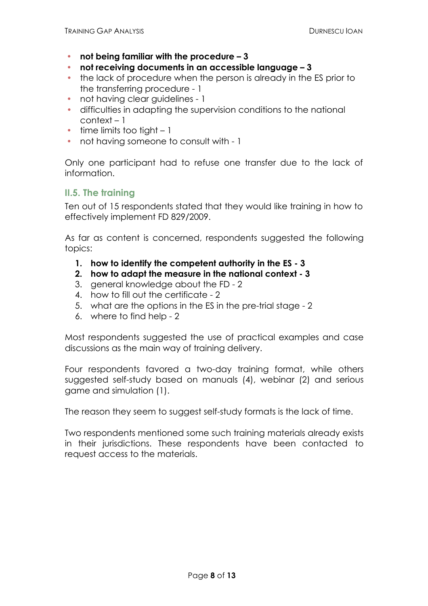- **not being familiar with the procedure – 3**
- **not receiving documents in an accessible language – 3**
- the lack of procedure when the person is already in the ES prior to the transferring procedure - 1
- not having clear quidelines 1
- difficulties in adapting the supervision conditions to the national context – 1
- $\cdot$  time limits too tight  $-1$
- not having someone to consult with 1

Only one participant had to refuse one transfer due to the lack of information.

#### **II.5. The training**

Ten out of 15 respondents stated that they would like training in how to effectively implement FD 829/2009.

As far as content is concerned, respondents suggested the following topics:

- **1. how to identify the competent authority in the ES - 3**
- **2. how to adapt the measure in the national context - 3**
- 3. general knowledge about the FD 2
- 4. how to fill out the certificate 2
- 5. what are the options in the ES in the pre-trial stage 2
- 6. where to find help 2

Most respondents suggested the use of practical examples and case discussions as the main way of training delivery.

Four respondents favored a two-day training format, while others suggested self-study based on manuals (4), webinar (2) and serious game and simulation (1).

The reason they seem to suggest self-study formats is the lack of time.

Two respondents mentioned some such training materials already exists in their jurisdictions. These respondents have been contacted to request access to the materials.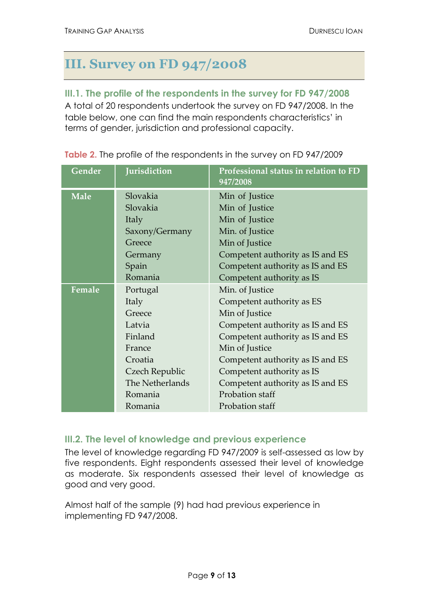## **III. Survey on FD 947/2008**

#### **III.1. The profile of the respondents in the survey for FD 947/2008**

A total of 20 respondents undertook the survey on FD 947/2008. In the table below, one can find the main respondents characteristics' in terms of gender, jurisdiction and professional capacity.

| Gender      | Jurisdiction    | Professional status in relation to FD<br>947/2008 |
|-------------|-----------------|---------------------------------------------------|
| <b>Male</b> | Slovakia        | Min of Justice                                    |
|             | Slovakia        | Min of Justice                                    |
|             | Italy           | Min of Justice                                    |
|             | Saxony/Germany  | Min. of Justice                                   |
|             | Greece          | Min of Justice                                    |
|             | Germany         | Competent authority as IS and ES                  |
|             | Spain           | Competent authority as IS and ES                  |
|             | Romania         | Competent authority as IS                         |
| Female      | Portugal        | Min. of Justice                                   |
|             | Italy           | Competent authority as ES                         |
|             | Greece          | Min of Justice                                    |
|             | Latvia          | Competent authority as IS and ES                  |
|             | Finland         | Competent authority as IS and ES                  |
|             | France          | Min of Justice                                    |
|             | Croatia         | Competent authority as IS and ES                  |
|             | Czech Republic  | Competent authority as IS                         |
|             | The Netherlands | Competent authority as IS and ES                  |
|             | Romania         | Probation staff                                   |
|             | Romania         | Probation staff                                   |

**Table 2.** The profile of the respondents in the survey on FD 947/2009

#### **III.2. The level of knowledge and previous experience**

The level of knowledge regarding FD 947/2009 is self-assessed as low by five respondents. Eight respondents assessed their level of knowledge as moderate. Six respondents assessed their level of knowledge as good and very good.

Almost half of the sample (9) had had previous experience in implementing FD 947/2008.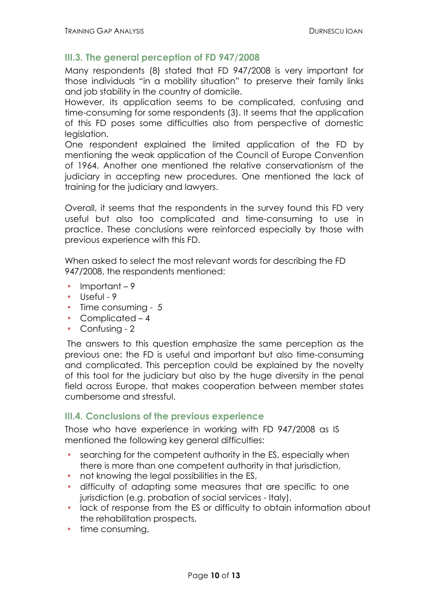#### **III.3. The general perception of FD 947/2008**

Many respondents (8) stated that FD 947/2008 is very important for those individuals "in a mobility situation" to preserve their family links and job stability in the country of domicile.

However, its application seems to be complicated, confusing and time-consuming for some respondents (3). It seems that the application of this FD poses some difficulties also from perspective of domestic legislation.

One respondent explained the limited application of the FD by mentioning the weak application of the Council of Europe Convention of 1964. Another one mentioned the relative conservationism of the judiciary in accepting new procedures. One mentioned the lack of training for the judiciary and lawyers.

Overall, it seems that the respondents in the survey found this FD very useful but also too complicated and time-consuming to use in practice. These conclusions were reinforced especially by those with previous experience with this FD.

When asked to select the most relevant words for describing the FD 947/2008, the respondents mentioned:

- $\cdot$  Important 9
- $\cdot$  Useful 9
- Time consuming 5
- Complicated 4
- Confusing 2

The answers to this question emphasize the same perception as the previous one: the FD is useful and important but also time-consuming and complicated. This perception could be explained by the novelty of this tool for the judiciary but also by the huge diversity in the penal field across Europe, that makes cooperation between member states cumbersome and stressful.

#### **III.4. Conclusions of the previous experience**

Those who have experience in working with FD 947/2008 as IS mentioned the following key general difficulties:

- searching for the competent authority in the ES, especially when there is more than one competent authority in that jurisdiction,
- not knowing the legal possibilities in the ES,
- difficulty of adapting some measures that are specific to one jurisdiction (e.g. probation of social services - Italy),
- lack of response from the ES or difficulty to obtain information about the rehabilitation prospects,
- $\cdot$  time consuming,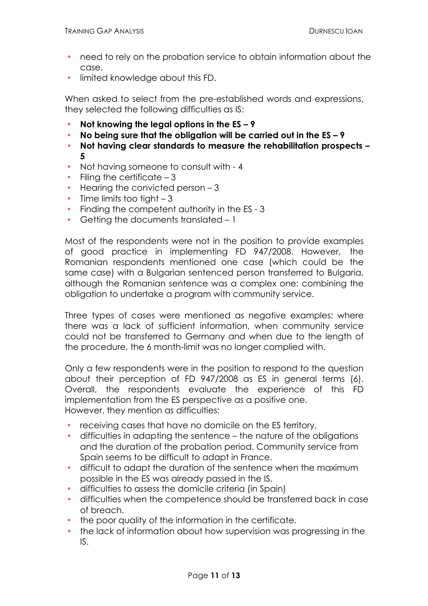- need to rely on the probation service to obtain information about the case,
- **.** limited knowledge about this FD.

When asked to select from the pre-established words and expressions, they selected the following difficulties as IS:

- **Not knowing the legal options in the ES – 9**
- **No being sure that the obligation will be carried out in the ES – 9**
- **Not having clear standards to measure the rehabilitation prospects – 5**
- Not having someone to consult with 4
- $\cdot$  Filing the certificate  $-3$
- $\cdot$  Hearing the convicted person  $-3$
- $\cdot$  Time limits too tight  $-3$
- Finding the competent authority in the ES 3
- Getting the documents translated 1

Most of the respondents were not in the position to provide examples of good practice in implementing FD 947/2008. However, the Romanian respondents mentioned one case (which could be the same case) with a Bulgarian sentenced person transferred to Bulgaria, although the Romanian sentence was a complex one: combining the obligation to undertake a program with community service.

Three types of cases were mentioned as negative examples: where there was a lack of sufficient information, when community service could not be transferred to Germany and when due to the length of the procedure, the 6 month-limit was no longer complied with.

Only a few respondents were in the position to respond to the question about their perception of FD 947/2008 as ES in general terms (6). Overall, the respondents evaluate the experience of this FD implementation from the ES perspective as a positive one. However, they mention as difficulties:

- receiving cases that have no domicile on the ES territory,
- difficulties in adapting the sentence the nature of the obligations and the duration of the probation period. Community service from Spain seems to be difficult to adapt in France.
- difficult to adapt the duration of the sentence when the maximum possible in the ES was already passed in the IS.
- difficulties to assess the domicile criteria (in Spain)
- difficulties when the competence should be transferred back in case of breach.
- the poor quality of the information in the certificate.
- the lack of information about how supervision was progressing in the IS.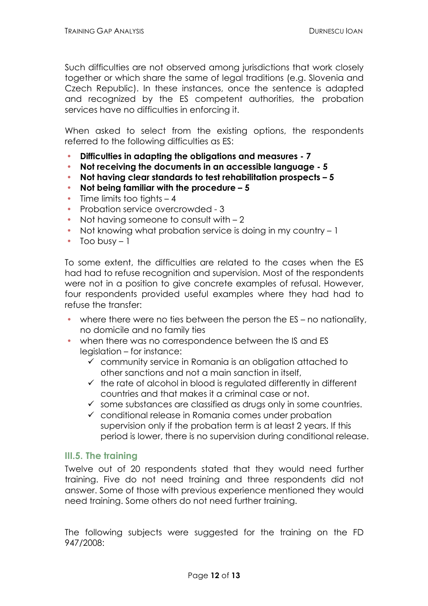Such difficulties are not observed among jurisdictions that work closely together or which share the same of legal traditions (e.g. Slovenia and Czech Republic). In these instances, once the sentence is adapted and recognized by the ES competent authorities, the probation services have no difficulties in enforcing it.

When asked to select from the existing options, the respondents referred to the following difficulties as ES:

- **Difficulties in adapting the obligations and measures - 7**
- **Not receiving the documents in an accessible language - 5**
- **Not having clear standards to test rehabilitation prospects – 5**
- **Not being familiar with the procedure – 5**
- $\cdot$  Time limits too tights  $-4$
- Probation service overcrowded 3
- Not having someone to consult with 2
- Not knowing what probation service is doing in my country 1
- $\cdot$  Too busy 1

To some extent, the difficulties are related to the cases when the ES had had to refuse recognition and supervision. Most of the respondents were not in a position to give concrete examples of refusal. However, four respondents provided useful examples where they had had to refuse the transfer:

- where there were no ties between the person the ES no nationality, no domicile and no family ties
- when there was no correspondence between the IS and ES legislation – for instance:
	- $\checkmark$  community service in Romania is an obligation attached to other sanctions and not a main sanction in itself,
	- $\checkmark$  the rate of alcohol in blood is regulated differently in different countries and that makes it a criminal case or not.
	- $\checkmark$  some substances are classified as drugs only in some countries.
	- $\checkmark$  conditional release in Romania comes under probation supervision only if the probation term is at least 2 years. If this period is lower, there is no supervision during conditional release.

#### **III.5. The training**

Twelve out of 20 respondents stated that they would need further training. Five do not need training and three respondents did not answer. Some of those with previous experience mentioned they would need training. Some others do not need further training.

The following subjects were suggested for the training on the FD 947/2008: